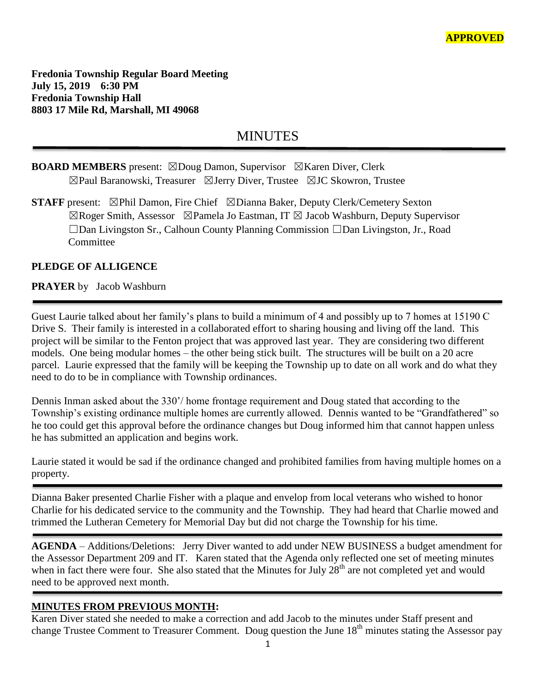**Fredonia Township Regular Board Meeting July 15, 2019 6:30 PM Fredonia Township Hall 8803 17 Mile Rd, Marshall, MI 49068**

# **MINUTES**

# **BOARD MEMBERS** present: ⊠Doug Damon, Supervisor ⊠Karen Diver, Clerk ☒Paul Baranowski, Treasurer ☒Jerry Diver, Trustee ☒JC Skowron, Trustee

**STAFF** present: ⊠Phil Damon, Fire Chief ⊠Dianna Baker, Deputy Clerk/Cemetery Sexton  $\boxtimes$ Roger Smith, Assessor  $\boxtimes$ Pamela Jo Eastman, IT  $\boxtimes$  Jacob Washburn, Deputy Supervisor ☐Dan Livingston Sr., Calhoun County Planning Commission ☐Dan Livingston, Jr., Road Committee

## **PLEDGE OF ALLIGENCE**

#### **PRAYER** by Jacob Washburn

Guest Laurie talked about her family's plans to build a minimum of 4 and possibly up to 7 homes at 15190 C Drive S. Their family is interested in a collaborated effort to sharing housing and living off the land. This project will be similar to the Fenton project that was approved last year. They are considering two different models. One being modular homes – the other being stick built. The structures will be built on a 20 acre parcel. Laurie expressed that the family will be keeping the Township up to date on all work and do what they need to do to be in compliance with Township ordinances.

Dennis Inman asked about the 330'/ home frontage requirement and Doug stated that according to the Township's existing ordinance multiple homes are currently allowed. Dennis wanted to be "Grandfathered" so he too could get this approval before the ordinance changes but Doug informed him that cannot happen unless he has submitted an application and begins work.

Laurie stated it would be sad if the ordinance changed and prohibited families from having multiple homes on a property.

Dianna Baker presented Charlie Fisher with a plaque and envelop from local veterans who wished to honor Charlie for his dedicated service to the community and the Township. They had heard that Charlie mowed and trimmed the Lutheran Cemetery for Memorial Day but did not charge the Township for his time.

**AGENDA** – Additions/Deletions: Jerry Diver wanted to add under NEW BUSINESS a budget amendment for the Assessor Department 209 and IT. Karen stated that the Agenda only reflected one set of meeting minutes when in fact there were four. She also stated that the Minutes for July  $28<sup>th</sup>$  are not completed yet and would need to be approved next month.

## **MINUTES FROM PREVIOUS MONTH:**

Karen Diver stated she needed to make a correction and add Jacob to the minutes under Staff present and change Trustee Comment to Treasurer Comment. Doug question the June 18<sup>th</sup> minutes stating the Assessor pay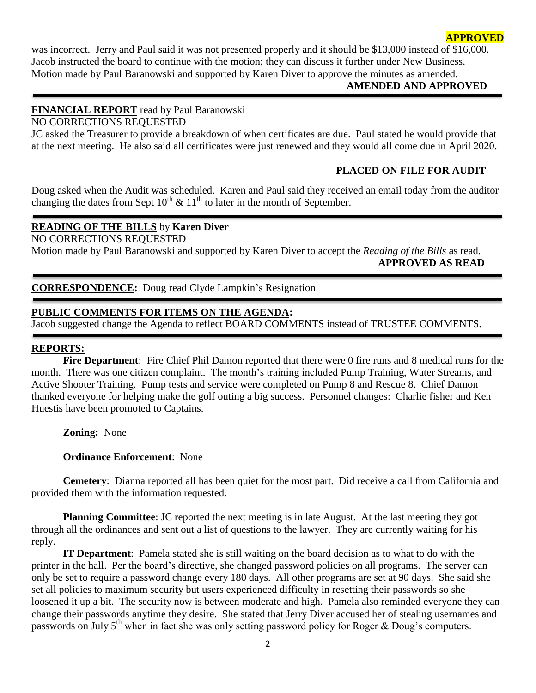#### **APPROVED**

was incorrect. Jerry and Paul said it was not presented properly and it should be \$13,000 instead of \$16,000. Jacob instructed the board to continue with the motion; they can discuss it further under New Business. Motion made by Paul Baranowski and supported by Karen Diver to approve the minutes as amended.

#### **AMENDED AND APPROVED**

#### **FINANCIAL REPORT** read by Paul Baranowski NO CORRECTIONS REQUESTED

JC asked the Treasurer to provide a breakdown of when certificates are due. Paul stated he would provide that at the next meeting. He also said all certificates were just renewed and they would all come due in April 2020.

## **PLACED ON FILE FOR AUDIT**

Doug asked when the Audit was scheduled. Karen and Paul said they received an email today from the auditor changing the dates from Sept  $10^{th}$  &  $11^{th}$  to later in the month of September.

# **READING OF THE BILLS** by **Karen Diver**

NO CORRECTIONS REQUESTED

Motion made by Paul Baranowski and supported by Karen Diver to accept the *Reading of the Bills* as read.  **APPROVED AS READ**

#### **CORRESPONDENCE:** Doug read Clyde Lampkin's Resignation

#### **PUBLIC COMMENTS FOR ITEMS ON THE AGENDA:**

Jacob suggested change the Agenda to reflect BOARD COMMENTS instead of TRUSTEE COMMENTS.

#### **REPORTS:**

**Fire Department**: Fire Chief Phil Damon reported that there were 0 fire runs and 8 medical runs for the month. There was one citizen complaint. The month's training included Pump Training, Water Streams, and Active Shooter Training. Pump tests and service were completed on Pump 8 and Rescue 8. Chief Damon thanked everyone for helping make the golf outing a big success. Personnel changes: Charlie fisher and Ken Huestis have been promoted to Captains.

**Zoning:** None

#### **Ordinance Enforcement**: None

**Cemetery**: Dianna reported all has been quiet for the most part. Did receive a call from California and provided them with the information requested.

**Planning Committee**: JC reported the next meeting is in late August. At the last meeting they got through all the ordinances and sent out a list of questions to the lawyer. They are currently waiting for his reply.

**IT Department**: Pamela stated she is still waiting on the board decision as to what to do with the printer in the hall. Per the board's directive, she changed password policies on all programs. The server can only be set to require a password change every 180 days. All other programs are set at 90 days. She said she set all policies to maximum security but users experienced difficulty in resetting their passwords so she loosened it up a bit. The security now is between moderate and high. Pamela also reminded everyone they can change their passwords anytime they desire. She stated that Jerry Diver accused her of stealing usernames and passwords on July 5<sup>th</sup> when in fact she was only setting password policy for Roger & Doug's computers.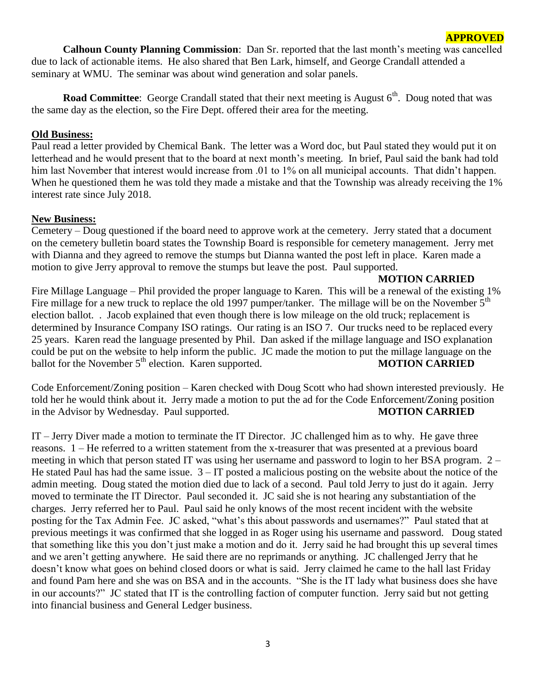**Calhoun County Planning Commission**: Dan Sr. reported that the last month's meeting was cancelled due to lack of actionable items. He also shared that Ben Lark, himself, and George Crandall attended a seminary at WMU. The seminar was about wind generation and solar panels.

**Road Committee**: George Crandall stated that their next meeting is August 6<sup>th</sup>. Doug noted that was the same day as the election, so the Fire Dept. offered their area for the meeting.

## **Old Business:**

Paul read a letter provided by Chemical Bank. The letter was a Word doc, but Paul stated they would put it on letterhead and he would present that to the board at next month's meeting. In brief, Paul said the bank had told him last November that interest would increase from .01 to 1% on all municipal accounts. That didn't happen. When he questioned them he was told they made a mistake and that the Township was already receiving the 1% interest rate since July 2018.

## **New Business:**

Cemetery – Doug questioned if the board need to approve work at the cemetery. Jerry stated that a document on the cemetery bulletin board states the Township Board is responsible for cemetery management. Jerry met with Dianna and they agreed to remove the stumps but Dianna wanted the post left in place. Karen made a motion to give Jerry approval to remove the stumps but leave the post. Paul supported.

# **MOTION CARRIED**

Fire Millage Language – Phil provided the proper language to Karen. This will be a renewal of the existing 1% Fire millage for a new truck to replace the old 1997 pumper/tanker. The millage will be on the November  $5<sup>th</sup>$ election ballot. . Jacob explained that even though there is low mileage on the old truck; replacement is determined by Insurance Company ISO ratings. Our rating is an ISO 7. Our trucks need to be replaced every 25 years. Karen read the language presented by Phil. Dan asked if the millage language and ISO explanation could be put on the website to help inform the public. JC made the motion to put the millage language on the ballot for the November 5<sup>th</sup> election. Karen supported. **MOTION CARRIED** 

Code Enforcement/Zoning position – Karen checked with Doug Scott who had shown interested previously. He told her he would think about it. Jerry made a motion to put the ad for the Code Enforcement/Zoning position in the Advisor by Wednesday. Paul supported. **MOTION CARRIED** 

IT – Jerry Diver made a motion to terminate the IT Director. JC challenged him as to why. He gave three reasons. 1 – He referred to a written statement from the x-treasurer that was presented at a previous board meeting in which that person stated IT was using her username and password to login to her BSA program. 2 – He stated Paul has had the same issue.  $3 - IT$  posted a malicious posting on the website about the notice of the admin meeting. Doug stated the motion died due to lack of a second. Paul told Jerry to just do it again. Jerry moved to terminate the IT Director. Paul seconded it. JC said she is not hearing any substantiation of the charges. Jerry referred her to Paul. Paul said he only knows of the most recent incident with the website posting for the Tax Admin Fee. JC asked, "what's this about passwords and usernames?" Paul stated that at previous meetings it was confirmed that she logged in as Roger using his username and password. Doug stated that something like this you don't just make a motion and do it. Jerry said he had brought this up several times and we aren't getting anywhere. He said there are no reprimands or anything. JC challenged Jerry that he doesn't know what goes on behind closed doors or what is said. Jerry claimed he came to the hall last Friday and found Pam here and she was on BSA and in the accounts. "She is the IT lady what business does she have in our accounts?" JC stated that IT is the controlling faction of computer function. Jerry said but not getting into financial business and General Ledger business.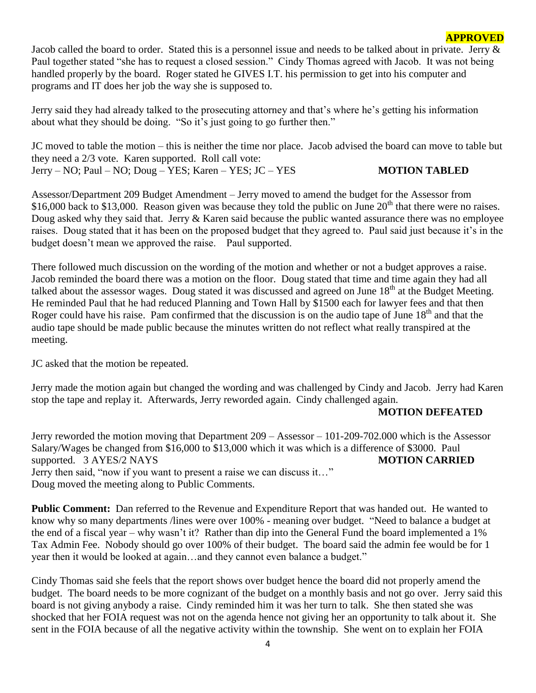Jacob called the board to order. Stated this is a personnel issue and needs to be talked about in private. Jerry & Paul together stated "she has to request a closed session." Cindy Thomas agreed with Jacob. It was not being handled properly by the board. Roger stated he GIVES I.T. his permission to get into his computer and programs and IT does her job the way she is supposed to.

Jerry said they had already talked to the prosecuting attorney and that's where he's getting his information about what they should be doing. "So it's just going to go further then."

JC moved to table the motion – this is neither the time nor place. Jacob advised the board can move to table but they need a 2/3 vote. Karen supported. Roll call vote: Jerry – NO; Paul – NO; Doug – YES; Karen – YES; JC – YES **MOTION TABLED**

Assessor/Department 209 Budget Amendment – Jerry moved to amend the budget for the Assessor from \$16,000 back to \$13,000. Reason given was because they told the public on June  $20<sup>th</sup>$  that there were no raises. Doug asked why they said that. Jerry & Karen said because the public wanted assurance there was no employee raises. Doug stated that it has been on the proposed budget that they agreed to. Paul said just because it's in the budget doesn't mean we approved the raise. Paul supported.

There followed much discussion on the wording of the motion and whether or not a budget approves a raise. Jacob reminded the board there was a motion on the floor. Doug stated that time and time again they had all talked about the assessor wages. Doug stated it was discussed and agreed on June  $18<sup>th</sup>$  at the Budget Meeting. He reminded Paul that he had reduced Planning and Town Hall by \$1500 each for lawyer fees and that then Roger could have his raise. Pam confirmed that the discussion is on the audio tape of June 18<sup>th</sup> and that the audio tape should be made public because the minutes written do not reflect what really transpired at the meeting.

JC asked that the motion be repeated.

Jerry made the motion again but changed the wording and was challenged by Cindy and Jacob. Jerry had Karen stop the tape and replay it. Afterwards, Jerry reworded again. Cindy challenged again.

## **MOTION DEFEATED**

**APPROVED**

Jerry reworded the motion moving that Department 209 – Assessor – 101-209-702.000 which is the Assessor Salary/Wages be changed from \$16,000 to \$13,000 which it was which is a difference of \$3000. Paul supported. 3 AYES/2 NAYS **MOTION CARRIED** Jerry then said, "now if you want to present a raise we can discuss it…" Doug moved the meeting along to Public Comments.

**Public Comment:** Dan referred to the Revenue and Expenditure Report that was handed out. He wanted to know why so many departments /lines were over 100% - meaning over budget. "Need to balance a budget at the end of a fiscal year – why wasn't it? Rather than dip into the General Fund the board implemented a 1% Tax Admin Fee. Nobody should go over 100% of their budget. The board said the admin fee would be for 1 year then it would be looked at again…and they cannot even balance a budget."

Cindy Thomas said she feels that the report shows over budget hence the board did not properly amend the budget. The board needs to be more cognizant of the budget on a monthly basis and not go over. Jerry said this board is not giving anybody a raise. Cindy reminded him it was her turn to talk. She then stated she was shocked that her FOIA request was not on the agenda hence not giving her an opportunity to talk about it. She sent in the FOIA because of all the negative activity within the township. She went on to explain her FOIA